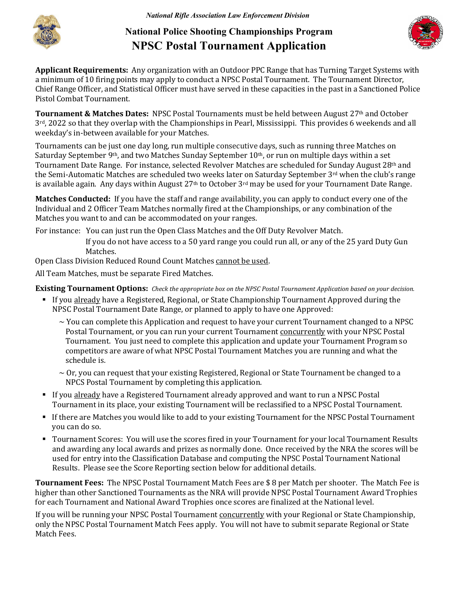

## **National Police Shooting Championships Program NPSC Postal Tournament Application**



**Applicant Requirements:** Any organization with an Outdoor PPC Range that has Turning Target Systems with a minimum of 10 firing points may apply to conduct a NPSC Postal Tournament. The Tournament Director, Chief Range Officer, and Statistical Officer must have served in these capacities in the past in a Sanctioned Police Pistol Combat Tournament.

**Tournament & Matches Dates:** NPSC Postal Tournaments must be held between August 27th and October 3rd, 2022 so that they overlap with the Championships in Pearl, Mississippi. This provides 6 weekends and all weekday's in-between available for your Matches.

Tournaments can be just one day long, run multiple consecutive days, such as running three Matches on Saturday September 9<sup>th</sup>, and two Matches Sunday September 10<sup>th</sup>, or run on multiple days within a set Tournament Date Range. For instance, selected Revolver Matches are scheduled for Sunday August 28th and the Semi-Automatic Matches are scheduled two weeks later on Saturday September 3rd when the club's range is available again. Any days within August 27<sup>th</sup> to October 3<sup>rd</sup> may be used for your Tournament Date Range.

**Matches Conducted:** If you have the staff and range availability, you can apply to conduct every one of the Individual and 2 Officer Team Matches normally fired at the Championships, or any combination of the Matches you want to and can be accommodated on your ranges.

For instance: You can just run the Open Class Matches and the Off Duty Revolver Match. If you do not have access to a 50 yard range you could run all, or any of the 25 yard Duty Gun Matches.

Open Class Division Reduced Round Count Matches cannot be used.

All Team Matches, must be separate Fired Matches.

**Existing Tournament Options:** *Check the appropriate box on the NPSC Postal Tournament Application based on your decision.*

- If you already have a Registered, Regional, or State Championship Tournament Approved during the NPSC Postal Tournament Date Range, or planned to apply to have one Approved:
	- $\sim$  You can complete this Application and request to have your current Tournament changed to a NPSC Postal Tournament, or you can run your current Tournament concurrently with your NPSC Postal Tournament. You just need to complete this application and update your Tournament Program so competitors are aware of what NPSC Postal Tournament Matches you are running and what the schedule is.
	- $\sim$  Or, you can request that your existing Registered, Regional or State Tournament be changed to a NPCS Postal Tournament by completing this application.
- If you already have a Registered Tournament already approved and want to run a NPSC Postal Tournament in its place, your existing Tournament will be reclassified to a NPSC Postal Tournament.
- If there are Matches you would like to add to your existing Tournament for the NPSC Postal Tournament you can do so.
- Tournament Scores: You will use the scores fired in your Tournament for your local Tournament Results and awarding any local awards and prizes as normally done. Once received by the NRA the scores will be used for entry into the Classification Database and computing the NPSC Postal Tournament National Results. Please see the Score Reporting section below for additional details.

**Tournament Fees:** The NPSC Postal Tournament Match Fees are \$ 8 per Match per shooter. The Match Fee is higher than other Sanctioned Tournaments as the NRA will provide NPSC Postal Tournament Award Trophies for each Tournament and National Award Trophies once scores are finalized at the National level.

If you will be running your NPSC Postal Tournament concurrently with your Regional or State Championship, only the NPSC Postal Tournament Match Fees apply. You will not have to submit separate Regional or State Match Fees.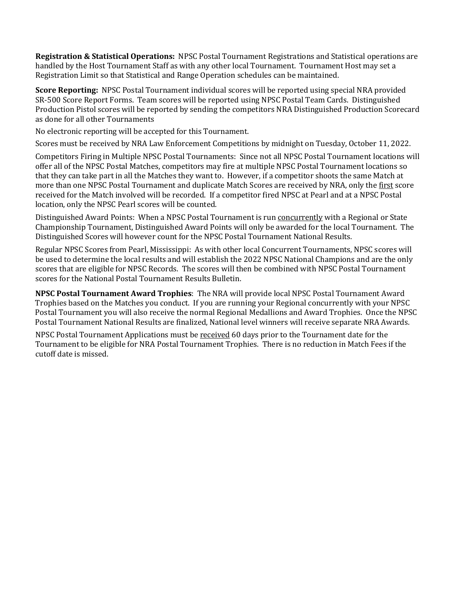**Registration & Statistical Operations:** NPSC Postal Tournament Registrations and Statistical operations are handled by the Host Tournament Staff as with any other local Tournament. Tournament Host may set a Registration Limit so that Statistical and Range Operation schedules can be maintained.

**Score Reporting:** NPSC Postal Tournament individual scores will be reported using special NRA provided SR-500 Score Report Forms. Team scores will be reported using NPSC Postal Team Cards. Distinguished Production Pistol scores will be reported by sending the competitors NRA Distinguished Production Scorecard as done for all other Tournaments

No electronic reporting will be accepted for this Tournament.

Scores must be received by NRA Law Enforcement Competitions by midnight on Tuesday, October 11, 2022.

Competitors Firing in Multiple NPSC Postal Tournaments: Since not all NPSC Postal Tournament locations will offer all of the NPSC Postal Matches, competitors may fire at multiple NPSC Postal Tournament locations so that they can take part in all the Matches they want to. However, if a competitor shoots the same Match at more than one NPSC Postal Tournament and duplicate Match Scores are received by NRA, only the first score received for the Match involved will be recorded. If a competitor fired NPSC at Pearl and at a NPSC Postal location, only the NPSC Pearl scores will be counted.

Distinguished Award Points: When a NPSC Postal Tournament is run concurrently with a Regional or State Championship Tournament, Distinguished Award Points will only be awarded for the local Tournament. The Distinguished Scores will however count for the NPSC Postal Tournament National Results.

Regular NPSC Scores from Pearl, Mississippi: As with other local Concurrent Tournaments, NPSC scores will be used to determine the local results and will establish the 2022 NPSC National Champions and are the only scores that are eligible for NPSC Records. The scores will then be combined with NPSC Postal Tournament scores for the National Postal Tournament Results Bulletin.

**NPSC Postal Tournament Award Trophies**: The NRA will provide local NPSC Postal Tournament Award Trophies based on the Matches you conduct. If you are running your Regional concurrently with your NPSC Postal Tournament you will also receive the normal Regional Medallions and Award Trophies. Once the NPSC Postal Tournament National Results are finalized, National level winners will receive separate NRA Awards.

NPSC Postal Tournament Applications must be received 60 days prior to the Tournament date for the Tournament to be eligible for NRA Postal Tournament Trophies. There is no reduction in Match Fees if the cutoff date is missed.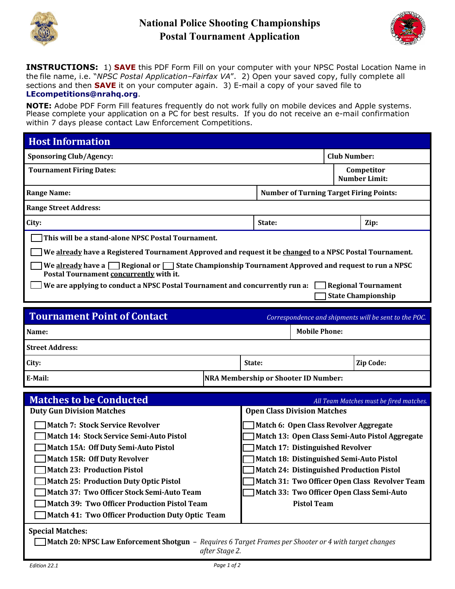

## **National Police Shooting Championships Postal Tournament Application**



**INSTRUCTIONS:** 1) **SAVE** this PDF Form Fill on your computer with your NPSC Postal Location Name in the file name, i.e. "*NPSC Postal Application–Fairfax VA*". 2) Open your saved copy, fully complete all sections and then **SAVE** it on your computer again. 3) E-mail a copy of your saved file to **[LEcompetitions@nrahq.org](mailto:LEcompetitions@nrahq.org)**.

**NOTE:** Adobe PDF Form Fill features frequently do not work fully on mobile devices and Apple systems. Please complete your application on a PC for best results. If you do not receive an e-mail confirmation within 7 days please contact Law Enforcement Competitions.

| <b>Host Information</b>                                                                                                                                 |  |                                                  |                                                |  |                                         |  |
|---------------------------------------------------------------------------------------------------------------------------------------------------------|--|--------------------------------------------------|------------------------------------------------|--|-----------------------------------------|--|
| <b>Sponsoring Club/Agency:</b>                                                                                                                          |  |                                                  | <b>Club Number:</b>                            |  |                                         |  |
| <b>Tournament Firing Dates:</b>                                                                                                                         |  |                                                  | Competitor<br><b>Number Limit:</b>             |  |                                         |  |
| <b>Range Name:</b>                                                                                                                                      |  |                                                  | <b>Number of Turning Target Firing Points:</b> |  |                                         |  |
| <b>Range Street Address:</b>                                                                                                                            |  |                                                  |                                                |  |                                         |  |
| City:                                                                                                                                                   |  | State:                                           |                                                |  | Zip:                                    |  |
| This will be a stand-alone NPSC Postal Tournament.                                                                                                      |  |                                                  |                                                |  |                                         |  |
| We already have a Registered Tournament Approved and request it be changed to a NPSC Postal Tournament.                                                 |  |                                                  |                                                |  |                                         |  |
| We already have a $\Box$ Regional or $\Box$ State Championship Tournament Approved and request to run a NPSC<br>Postal Tournament concurrently with it. |  |                                                  |                                                |  |                                         |  |
| We are applying to conduct a NPSC Postal Tournament and concurrently run a:<br><b>Regional Tournament</b>                                               |  |                                                  |                                                |  |                                         |  |
| <b>State Championship</b>                                                                                                                               |  |                                                  |                                                |  |                                         |  |
| <b>Tournament Point of Contact</b><br>Correspondence and shipments will be sent to the POC.                                                             |  |                                                  |                                                |  |                                         |  |
| Name:                                                                                                                                                   |  |                                                  | <b>Mobile Phone:</b>                           |  |                                         |  |
| <b>Street Address:</b>                                                                                                                                  |  |                                                  |                                                |  |                                         |  |
| City:                                                                                                                                                   |  | State:                                           |                                                |  | Zip Code:                               |  |
| E-Mail:                                                                                                                                                 |  | <b>NRA Membership or Shooter ID Number:</b>      |                                                |  |                                         |  |
| <b>Matches to be Conducted</b>                                                                                                                          |  |                                                  |                                                |  |                                         |  |
| <b>Duty Gun Division Matches</b>                                                                                                                        |  | <b>Open Class Division Matches</b>               |                                                |  | All Team Matches must be fired matches. |  |
| <b>Match 7: Stock Service Revolver</b>                                                                                                                  |  | Match 6: Open Class Revolver Aggregate           |                                                |  |                                         |  |
| Match 14: Stock Service Semi-Auto Pistol                                                                                                                |  | Match 13: Open Class Semi-Auto Pistol Aggregate  |                                                |  |                                         |  |
| Match 15A: Off Duty Semi-Auto Pistol                                                                                                                    |  | <b>Match 17: Distinguished Revolver</b>          |                                                |  |                                         |  |
| Match 15R: Off Duty Revolver                                                                                                                            |  | Match 18: Distinguished Semi-Auto Pistol         |                                                |  |                                         |  |
| Match 23: Production Pistol                                                                                                                             |  | <b>Match 24: Distinguished Production Pistol</b> |                                                |  |                                         |  |
| <b>Match 25: Production Duty Optic Pistol</b>                                                                                                           |  | Match 31: Two Officer Open Class Revolver Team   |                                                |  |                                         |  |
| Match 37: Two Officer Stock Semi-Auto Team                                                                                                              |  | Match 33: Two Officer Open Class Semi-Auto       |                                                |  |                                         |  |
| <b>Match 39: Two Officer Production Pistol Team</b>                                                                                                     |  |                                                  | <b>Pistol Team</b>                             |  |                                         |  |
| Match 41: Two Officer Production Duty Optic Team                                                                                                        |  |                                                  |                                                |  |                                         |  |
| <b>Special Matches:</b><br>Match 20: NPSC Law Enforcement Shotgun - Requires 6 Target Frames per Shooter or 4 with target changes<br>after Stage 2.     |  |                                                  |                                                |  |                                         |  |